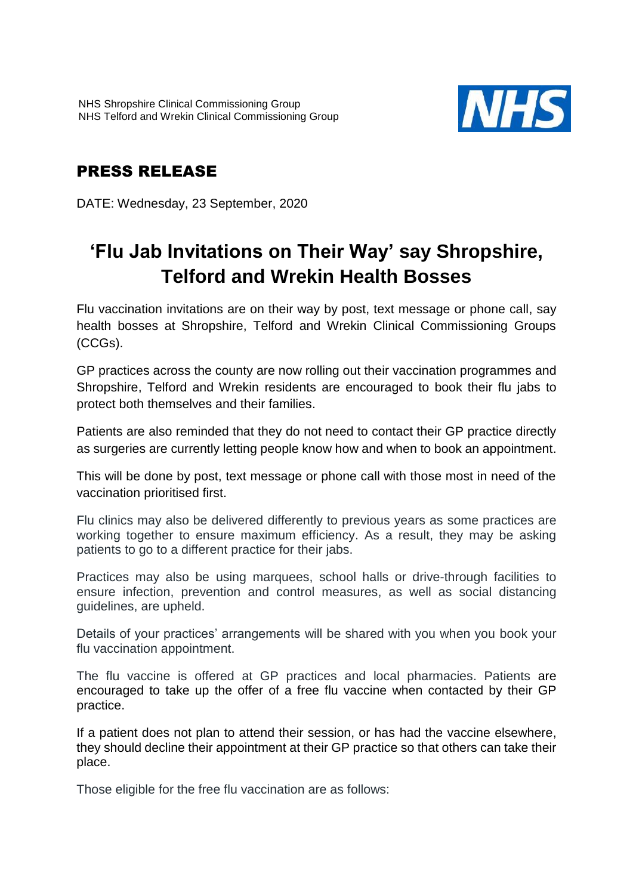

# PRESS RELEASE

DATE: Wednesday, 23 September, 2020

# **'Flu Jab Invitations on Their Way' say Shropshire, Telford and Wrekin Health Bosses**

Flu vaccination invitations are on their way by post, text message or phone call, say health bosses at Shropshire, Telford and Wrekin Clinical Commissioning Groups (CCGs).

GP practices across the county are now rolling out their vaccination programmes and Shropshire, Telford and Wrekin residents are encouraged to book their flu jabs to protect both themselves and their families.

Patients are also reminded that they do not need to contact their GP practice directly as surgeries are currently letting people know how and when to book an appointment.

This will be done by post, text message or phone call with those most in need of the vaccination prioritised first.

Flu clinics may also be delivered differently to previous years as some practices are working together to ensure maximum efficiency. As a result, they may be asking patients to go to a different practice for their jabs.

Practices may also be using marquees, school halls or drive-through facilities to ensure infection, prevention and control measures, as well as social distancing guidelines, are upheld.

Details of your practices' arrangements will be shared with you when you book your flu vaccination appointment.

The flu vaccine is offered at GP practices and local pharmacies. Patients are encouraged to take up the offer of a free flu vaccine when contacted by their GP practice.

If a patient does not plan to attend their session, or has had the vaccine elsewhere, they should decline their appointment at their GP practice so that others can take their place.

Those eligible for the free flu vaccination are as follows: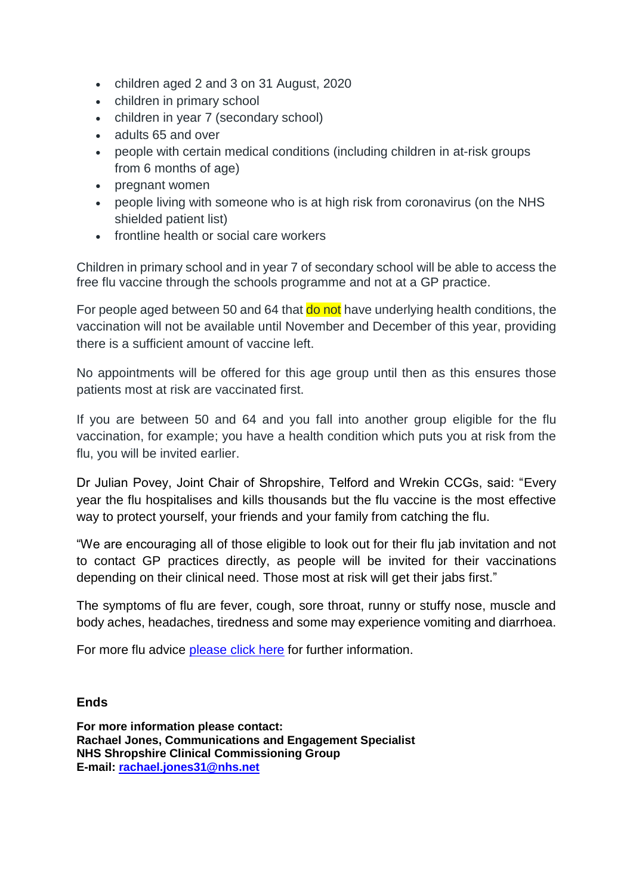- children aged 2 and 3 on 31 August, 2020
- children in primary school
- children in year 7 (secondary school)
- adults 65 and over
- people with certain medical conditions (including children in at-risk groups from 6 months of age)
- pregnant women
- people living with someone who is at high risk from coronavirus (on the NHS shielded patient list)
- frontline health or social care workers

Children in primary school and in year 7 of secondary school will be able to access the free flu vaccine through the schools programme and not at a GP practice.

For people aged between 50 and 64 that **do not** have underlying health conditions, the vaccination will not be available until November and December of this year, providing there is a sufficient amount of vaccine left.

No appointments will be offered for this age group until then as this ensures those patients most at risk are vaccinated first.

If you are between 50 and 64 and you fall into another group eligible for the flu vaccination, for example; you have a health condition which puts you at risk from the flu, you will be invited earlier.

Dr Julian Povey, Joint Chair of Shropshire, Telford and Wrekin CCGs, said: "Every year the flu hospitalises and kills thousands but the flu vaccine is the most effective way to protect yourself, your friends and your family from catching the flu.

"We are encouraging all of those eligible to look out for their flu jab invitation and not to contact GP practices directly, as people will be invited for their vaccinations depending on their clinical need. Those most at risk will get their jabs first."

The symptoms of flu are fever, cough, sore throat, runny or stuffy nose, muscle and body aches, headaches, tiredness and some may experience vomiting and diarrhoea.

For more flu advice please [click here](https://www.nhs.uk/conditions/vaccinations/flu-influenza-vaccine/) for further information.

## **Ends**

**For more information please contact: Rachael Jones, Communications and Engagement Specialist NHS Shropshire Clinical Commissioning Group E-mail: [rachael.jones31@nhs.net](mailto:rachael.jones31@nhs.net)**